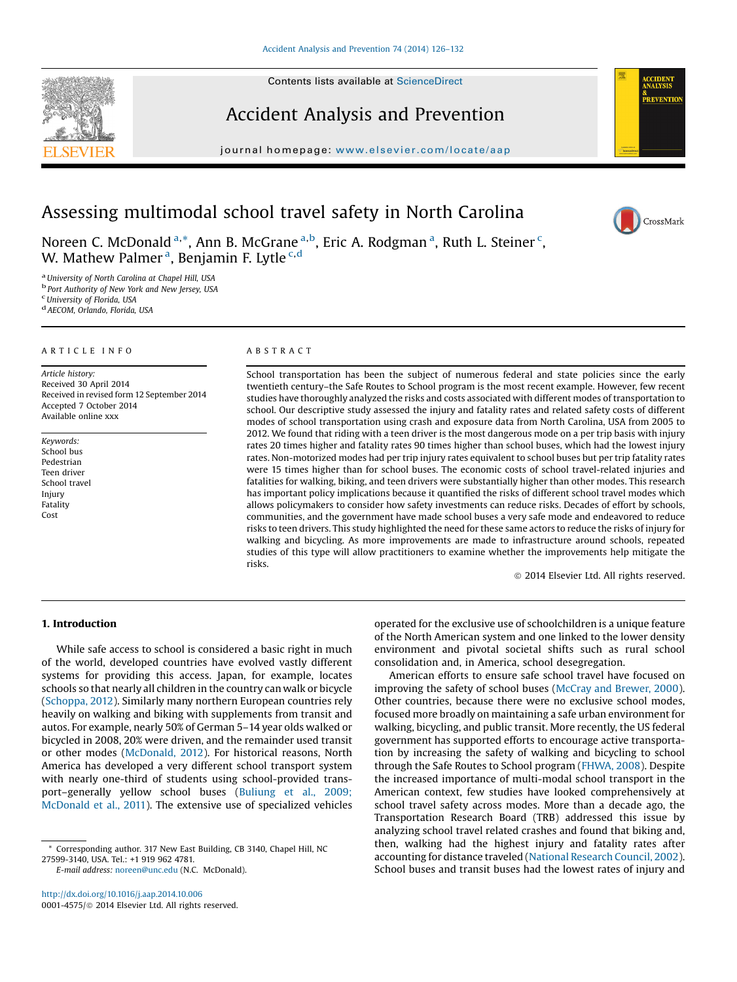

# Accident Analysis and Prevention

journal homepage: <www.elsevier.com/locate/aap>



CrossMark

# Assessing multimodal school travel safety in North Carolina

Noreen C. McDonald <sup>a,\*</sup>, Ann B. McGrane <sup>a,b</sup>, Eric A. Rodgman <sup>a</sup>, Ruth L. Steiner <sup>c</sup>, W. Mathew Palmer<sup>a</sup>, Benjamin F. Lytle <sup>c,d</sup>

<sup>a</sup> University of North Carolina at Chapel Hill, USA

b Port Authority of New York and New Jersey, USA c University of Florida, USA

dAECOM, Orlando, Florida, USA

#### A R T I C L E I N F O

Article history: Received 30 April 2014 Received in revised form 12 September 2014 Accepted 7 October 2014 Available online xxx

Keywords: School bus Pedestrian Teen driver School travel Injury Fatality Cost

#### A B S T R A C T

School transportation has been the subject of numerous federal and state policies since the early twentieth century–the Safe Routes to School program is the most recent example. However, few recent studies have thoroughly analyzed the risks and costs associated with different modes of transportation to school. Our descriptive study assessed the injury and fatality rates and related safety costs of different modes of school transportation using crash and exposure data from North Carolina, USA from 2005 to 2012. We found that riding with a teen driver is the most dangerous mode on a per trip basis with injury rates 20 times higher and fatality rates 90 times higher than school buses, which had the lowest injury rates. Non-motorized modes had per trip injury rates equivalent to school buses but per trip fatality rates were 15 times higher than for school buses. The economic costs of school travel-related injuries and fatalities for walking, biking, and teen drivers were substantially higher than other modes. This research has important policy implications because it quantified the risks of different school travel modes which allows policymakers to consider how safety investments can reduce risks. Decades of effort by schools, communities, and the government have made school buses a very safe mode and endeavored to reduce risks to teen drivers. This study highlighted the need for these same actors to reduce the risks of injury for walking and bicycling. As more improvements are made to infrastructure around schools, repeated studies of this type will allow practitioners to examine whether the improvements help mitigate the risks.

ã 2014 Elsevier Ltd. All rights reserved.

# 1. Introduction

While safe access to school is considered a basic right in much of the world, developed countries have evolved vastly different systems for providing this access. Japan, for example, locates schools so that nearly all children in the country can walk or bicycle ([Schoppa,](#page-6-0) 2012). Similarly many northern European countries rely heavily on walking and biking with supplements from transit and autos. For example, nearly 50% of German 5–14 year olds walked or bicycled in 2008, 20% were driven, and the remainder used transit or other modes [\(McDonald,](#page-5-0) 2012). For historical reasons, North America has developed a very different school transport system with nearly one-third of students using school-provided transport–generally yellow school buses [\(Buliung](#page-5-0) et al., 2009; [McDonald](#page-5-0) et al., 2011). The extensive use of specialized vehicles

E-mail address: [noreen@unc.edu](mailto:noreen@unc.edu) (N.C. McDonald).

operated for the exclusive use of schoolchildren is a unique feature of the North American system and one linked to the lower density environment and pivotal societal shifts such as rural school consolidation and, in America, school desegregation.

American efforts to ensure safe school travel have focused on improving the safety of school buses [\(McCray](#page-5-0) and Brewer, 2000). Other countries, because there were no exclusive school modes, focused more broadly on maintaining a safe urban environment for walking, bicycling, and public transit. More recently, the US federal government has supported efforts to encourage active transportation by increasing the safety of walking and bicycling to school through the Safe Routes to School program [\(FHWA,](#page-5-0) 2008). Despite the increased importance of multi-modal school transport in the American context, few studies have looked comprehensively at school travel safety across modes. More than a decade ago, the Transportation Research Board (TRB) addressed this issue by analyzing school travel related crashes and found that biking and, then, walking had the highest injury and fatality rates after accounting for distance traveled (National [Research](#page-5-0) Council, 2002). School buses and transit buses had the lowest rates of injury and

<sup>\*</sup> Corresponding author. 317 New East Building, CB 3140, Chapel Hill, NC 27599-3140, USA. Tel.: +1 919 962 4781.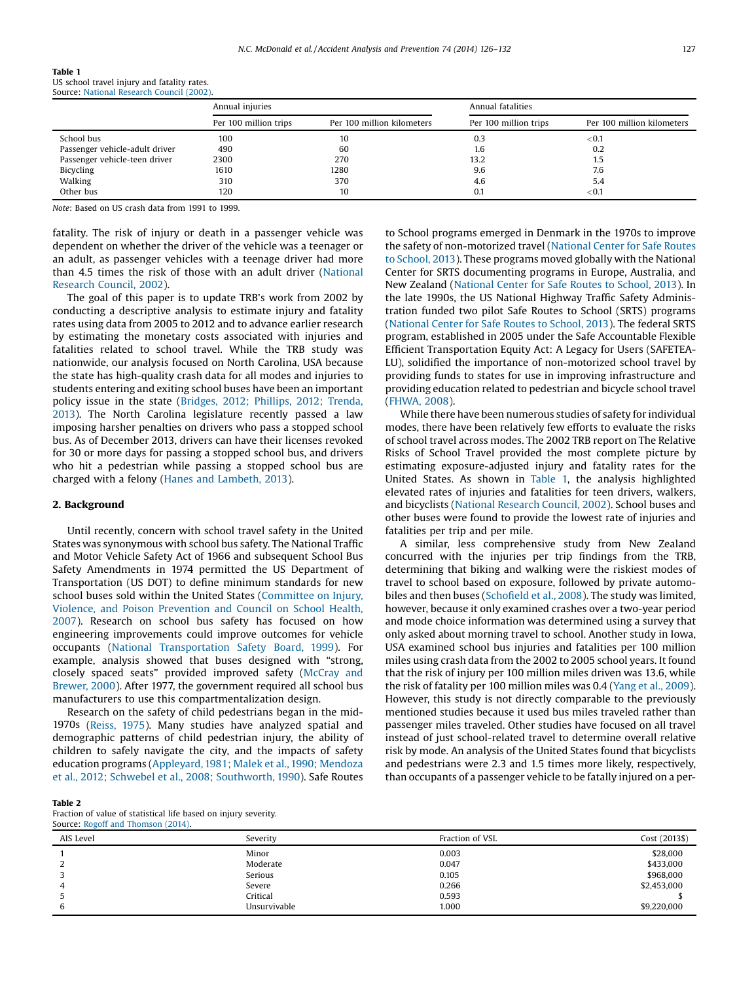<span id="page-1-0"></span>

|--|--|

US school travel injury and fatality rates. Source: National [Research](#page-5-0) Council (2002).

|                                | Annual injuries       |                            | Annual fatalities     |                            |  |  |
|--------------------------------|-----------------------|----------------------------|-----------------------|----------------------------|--|--|
|                                | Per 100 million trips | Per 100 million kilometers | Per 100 million trips | Per 100 million kilometers |  |  |
| School bus                     | 100                   | 10                         | 0.3                   | $<$ 0.1 $\,$               |  |  |
| Passenger vehicle-adult driver | 490                   | 60                         | 1.6                   | 0.2                        |  |  |
| Passenger vehicle-teen driver  | 2300                  | 270                        | 13.2                  | 1.5                        |  |  |
| Bicycling                      | 1610                  | 1280                       | 9.6                   | 7.6                        |  |  |
| Walking                        | 310                   | 370                        | 4.6                   | 5.4                        |  |  |
| Other bus                      | 120                   | 10                         | 0.1                   | ${<}0.1$                   |  |  |

Note: Based on US crash data from 1991 to 1999.

fatality. The risk of injury or death in a passenger vehicle was dependent on whether the driver of the vehicle was a teenager or an adult, as passenger vehicles with a teenage driver had more than 4.5 times the risk of those with an adult driver [\(National](#page-5-0) [Research](#page-5-0) Council, 2002).

The goal of this paper is to update TRB's work from 2002 by conducting a descriptive analysis to estimate injury and fatality rates using data from 2005 to 2012 and to advance earlier research by estimating the monetary costs associated with injuries and fatalities related to school travel. While the TRB study was nationwide, our analysis focused on North Carolina, USA because the state has high-quality crash data for all modes and injuries to students entering and exiting school buses have been an important policy issue in the state [\(Bridges,](#page-5-0) 2012; Phillips, 2012; Trenda, [2013\)](#page-5-0). The North Carolina legislature recently passed a law imposing harsher penalties on drivers who pass a stopped school bus. As of December 2013, drivers can have their licenses revoked for 30 or more days for passing a stopped school bus, and drivers who hit a pedestrian while passing a stopped school bus are charged with a felony (Hanes and [Lambeth,](#page-5-0) 2013).

# 2. Background

Until recently, concern with school travel safety in the United States was synonymous with school bus safety. The National Traffic and Motor Vehicle Safety Act of 1966 and subsequent School Bus Safety Amendments in 1974 permitted the US Department of Transportation (US DOT) to define minimum standards for new school buses sold within the United States ([Committee](#page-5-0) on Injury, Violence, and Poison [Prevention](#page-5-0) and Council on School Health, [2007](#page-5-0)). Research on school bus safety has focused on how engineering improvements could improve outcomes for vehicle occupants (National [Transportation](#page-5-0) Safety Board, 1999). For example, analysis showed that buses designed with "strong, closely spaced seats" provided improved safety [\(McCray](#page-5-0) and [Brewer,](#page-5-0) 2000). After 1977, the government required all school bus manufacturers to use this compartmentalization design.

Research on the safety of child pedestrians began in the mid-1970s ([Reiss,](#page-5-0) 1975). Many studies have analyzed spatial and demographic patterns of child pedestrian injury, the ability of children to safely navigate the city, and the impacts of safety education programs [\(Appleyard,1981;](#page-5-0) Malek et al.,1990; Mendoza et al., 2012; Schwebel et al., 2008; [Southworth,](#page-5-0) 1990). Safe Routes

to School programs emerged in Denmark in the 1970s to improve the safety of non-motorized travel [\(National](#page-5-0) Center for Safe Routes to [School,](#page-5-0) 2013). These programs moved globally with the National Center for SRTS documenting programs in Europe, Australia, and New Zealand ([National](#page-5-0) Center for Safe Routes to School, 2013). In the late 1990s, the US National Highway Traffic Safety Administration funded two pilot Safe Routes to School (SRTS) programs ([National](#page-5-0) Center for Safe Routes to School, 2013). The federal SRTS program, established in 2005 under the Safe Accountable Flexible Efficient Transportation Equity Act: A Legacy for Users (SAFETEA-LU), solidified the importance of non-motorized school travel by providing funds to states for use in improving infrastructure and providing education related to pedestrian and bicycle school travel ([FHWA,](#page-5-0) 2008).

While there have been numerous studies of safety for individual modes, there have been relatively few efforts to evaluate the risks of school travel across modes. The 2002 TRB report on The Relative Risks of School Travel provided the most complete picture by estimating exposure-adjusted injury and fatality rates for the United States. As shown in Table 1, the analysis highlighted elevated rates of injuries and fatalities for teen drivers, walkers, and bicyclists (National [Research](#page-5-0) Council, 2002). School buses and other buses were found to provide the lowest rate of injuries and fatalities per trip and per mile.

A similar, less comprehensive study from New Zealand concurred with the injuries per trip findings from the TRB, determining that biking and walking were the riskiest modes of travel to school based on exposure, followed by private automobiles and then buses (Schofield et al., [2008\)](#page-5-0). The study was limited, however, because it only examined crashes over a two-year period and mode choice information was determined using a survey that only asked about morning travel to school. Another study in Iowa, USA examined school bus injuries and fatalities per 100 million miles using crash data from the 2002 to 2005 school years. It found that the risk of injury per 100 million miles driven was 13.6, while the risk of fatality per 100 million miles was 0.4 (Yang et al., [2009](#page-6-0)). However, this study is not directly comparable to the previously mentioned studies because it used bus miles traveled rather than passenger miles traveled. Other studies have focused on all travel instead of just school-related travel to determine overall relative risk by mode. An analysis of the United States found that bicyclists and pedestrians were 2.3 and 1.5 times more likely, respectively, than occupants of a passenger vehicle to be fatally injured on a per-

Table 2 Fraction of value of statistical life based on injury severity. Source: Rogoff and [Thomson](#page-5-0) (2014).

| AIS Level | Severity     | Fraction of VSL | Cost (2013\$) |
|-----------|--------------|-----------------|---------------|
|           |              |                 |               |
|           | Minor        | 0.003           | \$28,000      |
|           | Moderate     | 0.047           | \$433,000     |
|           | Serious      | 0.105           | \$968,000     |
| 4         | Severe       | 0.266           | \$2,453,000   |
|           | Critical     | 0.593           |               |
| b         | Unsurvivable | 1.000           | \$9,220,000   |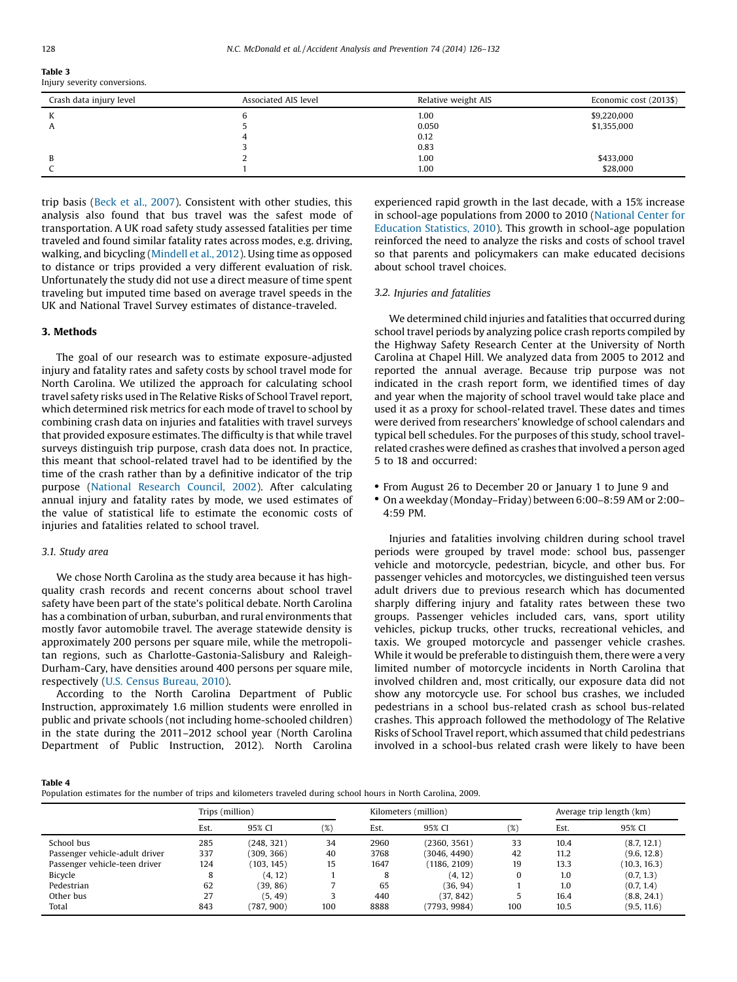<span id="page-2-0"></span>Table 3 Injury severity conversions.

| Crash data injury level | Associated AIS level | Relative weight AIS | Economic cost (2013\$) |  |  |
|-------------------------|----------------------|---------------------|------------------------|--|--|
| N                       |                      | 1.00                | \$9,220,000            |  |  |
|                         |                      | 0.050               | \$1,355,000            |  |  |
|                         |                      | 0.12                |                        |  |  |
|                         |                      | 0.83                |                        |  |  |
|                         |                      | 1.00                | \$433,000              |  |  |
|                         |                      | 1.00                | \$28,000               |  |  |

trip basis (Beck et al., [2007](#page-5-0)). Consistent with other studies, this analysis also found that bus travel was the safest mode of transportation. A UK road safety study assessed fatalities per time traveled and found similar fatality rates across modes, e.g. driving, walking, and bicycling [\(Mindell](#page-5-0) et al., 2012). Using time as opposed to distance or trips provided a very different evaluation of risk. Unfortunately the study did not use a direct measure of time spent traveling but imputed time based on average travel speeds in the UK and National Travel Survey estimates of distance-traveled.

# 3. Methods

The goal of our research was to estimate exposure-adjusted injury and fatality rates and safety costs by school travel mode for North Carolina. We utilized the approach for calculating school travel safety risks used in The Relative Risks of School Travel report, which determined risk metrics for each mode of travel to school by combining crash data on injuries and fatalities with travel surveys that provided exposure estimates. The difficulty is that while travel surveys distinguish trip purpose, crash data does not. In practice, this meant that school-related travel had to be identified by the time of the crash rather than by a definitive indicator of the trip purpose (National [Research](#page-5-0) Council, 2002). After calculating annual injury and fatality rates by mode, we used estimates of the value of statistical life to estimate the economic costs of injuries and fatalities related to school travel.

#### 3.1. Study area

We chose North Carolina as the study area because it has highquality crash records and recent concerns about school travel safety have been part of the state's political debate. North Carolina has a combination of urban, suburban, and rural environments that mostly favor automobile travel. The average statewide density is approximately 200 persons per square mile, while the metropolitan regions, such as Charlotte-Gastonia-Salisbury and Raleigh-Durham-Cary, have densities around 400 persons per square mile, respectively (U.S. Census [Bureau,](#page-6-0) 2010).

According to the North Carolina Department of Public Instruction, approximately 1.6 million students were enrolled in public and private schools (not including home-schooled children) in the state during the 2011–2012 school year (North Carolina Department of Public Instruction, 2012). North Carolina experienced rapid growth in the last decade, with a 15% increase in school-age populations from 2000 to 2010 ([National](#page-5-0) Center for [Education](#page-5-0) Statistics, 2010). This growth in school-age population reinforced the need to analyze the risks and costs of school travel so that parents and policymakers can make educated decisions about school travel choices.

# 3.2. Injuries and fatalities

We determined child injuries and fatalities that occurred during school travel periods by analyzing police crash reports compiled by the Highway Safety Research Center at the University of North Carolina at Chapel Hill. We analyzed data from 2005 to 2012 and reported the annual average. Because trip purpose was not indicated in the crash report form, we identified times of day and year when the majority of school travel would take place and used it as a proxy for school-related travel. These dates and times were derived from researchers' knowledge of school calendars and typical bell schedules. For the purposes of this study, school travelrelated crashes were defined as crashes that involved a person aged 5 to 18 and occurred:

- From August 26 to December 20 or January 1 to June 9 and
- On a weekday (Monday–Friday) between 6:00–8:59 AM or 2:00– 4:59 PM.

Injuries and fatalities involving children during school travel periods were grouped by travel mode: school bus, passenger vehicle and motorcycle, pedestrian, bicycle, and other bus. For passenger vehicles and motorcycles, we distinguished teen versus adult drivers due to previous research which has documented sharply differing injury and fatality rates between these two groups. Passenger vehicles included cars, vans, sport utility vehicles, pickup trucks, other trucks, recreational vehicles, and taxis. We grouped motorcycle and passenger vehicle crashes. While it would be preferable to distinguish them, there were a very limited number of motorcycle incidents in North Carolina that involved children and, most critically, our exposure data did not show any motorcycle use. For school bus crashes, we included pedestrians in a school bus-related crash as school bus-related crashes. This approach followed the methodology of The Relative Risks of School Travel report, which assumed that child pedestrians involved in a school-bus related crash were likely to have been

#### Table 4

Population estimates for the number of trips and kilometers traveled during school hours in North Carolina, 2009.

|                                | Trips (million) |            |     |      | Kilometers (million) |          |      | Average trip length (km) |  |
|--------------------------------|-----------------|------------|-----|------|----------------------|----------|------|--------------------------|--|
|                                | Est.            | 95% CI     | (%) | Est. | 95% CI               | (%)      | Est. | 95% CI                   |  |
| School bus                     | 285             | (248, 321) | 34  | 2960 | (2360, 3561)         | 33       | 10.4 | (8.7, 12.1)              |  |
| Passenger vehicle-adult driver | 337             | (309, 366) | 40  | 3768 | (3046, 4490)         | 42       | 11.2 | (9.6, 12.8)              |  |
| Passenger vehicle-teen driver  | 124             | (103, 145) | 15  | 1647 | (1186, 2109)         | 19       | 13.3 | (10.3, 16.3)             |  |
| Bicycle                        | 8               | (4, 12)    |     | 8    | (4, 12)              | $\Omega$ | 1.0  | (0.7, 1.3)               |  |
| Pedestrian                     | 62              | (39, 86)   |     | 65   | (36, 94)             |          | 1.0  | (0.7, 1.4)               |  |
| Other bus                      | 27              | (5, 49)    |     | 440  | (37, 842)            |          | 16.4 | (8.8, 24.1)              |  |
| Total                          | 843             | (787, 900) | 100 | 8888 | (7793, 9984)         | 100      | 10.5 | (9.5, 11.6)              |  |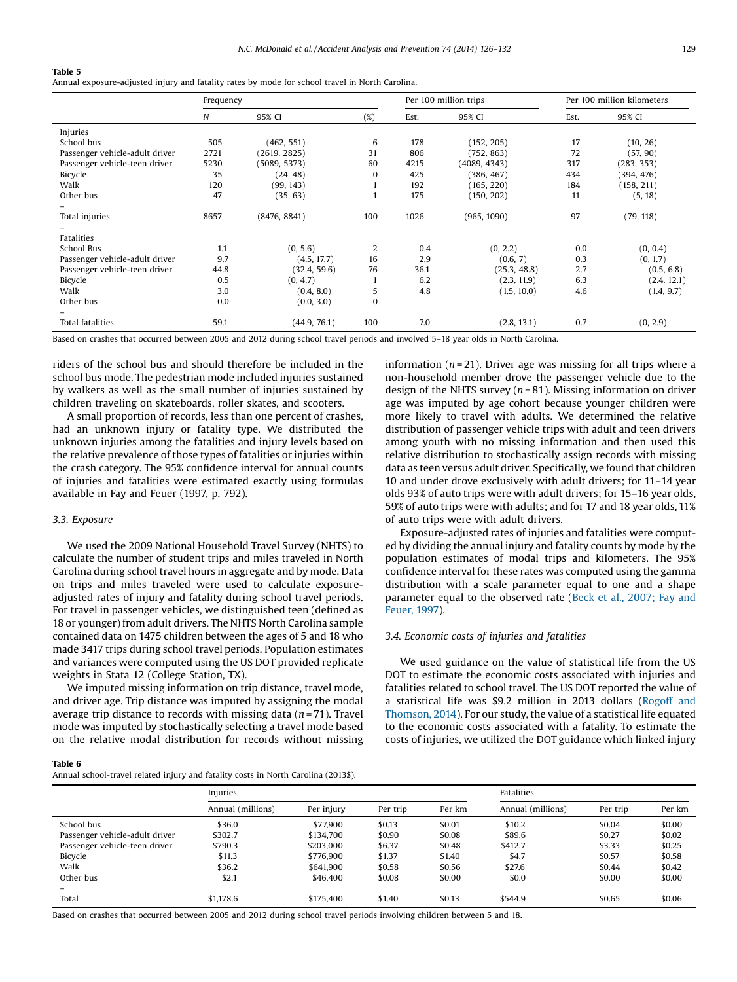#### <span id="page-3-0"></span>Table 5

Annual exposure-adjusted injury and fatality rates by mode for school travel in North Carolina.

|                                | Frequency |              |     | Per 100 million trips |              | Per 100 million kilometers |             |
|--------------------------------|-----------|--------------|-----|-----------------------|--------------|----------------------------|-------------|
|                                | N         | 95% CI       | (%) | Est.                  | 95% CI       | Est.                       | 95% CI      |
| Injuries                       |           |              |     |                       |              |                            |             |
| School bus                     | 505       | (462, 551)   | 6   | 178                   | (152, 205)   | 17                         | (10, 26)    |
| Passenger vehicle-adult driver | 2721      | (2619, 2825) | 31  | 806                   | (752, 863)   | 72                         | (57, 90)    |
| Passenger vehicle-teen driver  | 5230      | (5089, 5373) | 60  | 4215                  | (4089, 4343) | 317                        | (283, 353)  |
| Bicycle                        | 35        | (24, 48)     | 0   | 425                   | (386, 467)   | 434                        | (394, 476)  |
| Walk                           | 120       | (99, 143)    |     | 192                   | (165, 220)   | 184                        | (158, 211)  |
| Other bus                      | 47        | (35, 63)     |     | 175                   | (150, 202)   | 11                         | (5, 18)     |
|                                |           |              |     |                       |              |                            |             |
| Total injuries                 | 8657      | (8476, 8841) | 100 | 1026                  | (965, 1090)  | 97                         | (79, 118)   |
|                                |           |              |     |                       |              |                            |             |
| <b>Fatalities</b>              |           |              |     |                       |              |                            |             |
| School Bus                     | 1.1       | (0, 5.6)     | 2   | 0.4                   | (0, 2.2)     | 0.0                        | (0, 0.4)    |
| Passenger vehicle-adult driver | 9.7       | (4.5, 17.7)  | 16  | 2.9                   | (0.6, 7)     | 0.3                        | (0, 1.7)    |
| Passenger vehicle-teen driver  | 44.8      | (32.4, 59.6) | 76  | 36.1                  | (25.3, 48.8) | 2.7                        | (0.5, 6.8)  |
| Bicycle                        | 0.5       | (0, 4.7)     |     | 6.2                   | (2.3, 11.9)  | 6.3                        | (2.4, 12.1) |
| Walk                           | 3.0       | (0.4, 8.0)   | 5   | 4.8                   | (1.5, 10.0)  | 4.6                        | (1.4, 9.7)  |
| Other bus                      | 0.0       | (0.0, 3.0)   | 0   |                       |              |                            |             |
|                                |           |              |     |                       |              |                            |             |
| <b>Total fatalities</b>        | 59.1      | (44.9, 76.1) | 100 | 7.0                   | (2.8, 13.1)  | 0.7                        | (0, 2.9)    |

Based on crashes that occurred between 2005 and 2012 during school travel periods and involved 5–18 year olds in North Carolina.

riders of the school bus and should therefore be included in the school bus mode. The pedestrian mode included injuries sustained by walkers as well as the small number of injuries sustained by children traveling on skateboards, roller skates, and scooters.

A small proportion of records, less than one percent of crashes, had an unknown injury or fatality type. We distributed the unknown injuries among the fatalities and injury levels based on the relative prevalence of those types of fatalities or injuries within the crash category. The 95% confidence interval for annual counts of injuries and fatalities were estimated exactly using formulas available in Fay and Feuer (1997, p. 792).

# 3.3. Exposure

We used the 2009 National Household Travel Survey (NHTS) to calculate the number of student trips and miles traveled in North Carolina during school travel hours in aggregate and by mode. Data on trips and miles traveled were used to calculate exposureadjusted rates of injury and fatality during school travel periods. For travel in passenger vehicles, we distinguished teen (defined as 18 or younger) from adult drivers. The NHTS North Carolina sample contained data on 1475 children between the ages of 5 and 18 who made 3417 trips during school travel periods. Population estimates and variances were computed using the US DOT provided replicate weights in Stata 12 (College Station, TX).

We imputed missing information on trip distance, travel mode, and driver age. Trip distance was imputed by assigning the modal average trip distance to records with missing data  $(n = 71)$ . Travel mode was imputed by stochastically selecting a travel mode based on the relative modal distribution for records without missing information ( $n = 21$ ). Driver age was missing for all trips where a non-household member drove the passenger vehicle due to the design of the NHTS survey ( $n = 81$ ). Missing information on driver age was imputed by age cohort because younger children were more likely to travel with adults. We determined the relative distribution of passenger vehicle trips with adult and teen drivers among youth with no missing information and then used this relative distribution to stochastically assign records with missing data as teen versus adult driver. Specifically, we found that children 10 and under drove exclusively with adult drivers; for 11–14 year olds 93% of auto trips were with adult drivers; for 15–16 year olds, 59% of auto trips were with adults; and for 17 and 18 year olds, 11% of auto trips were with adult drivers.

Exposure-adjusted rates of injuries and fatalities were computed by dividing the annual injury and fatality counts by mode by the population estimates of modal trips and kilometers. The 95% confidence interval for these rates was computed using the gamma distribution with a scale parameter equal to one and a shape parameter equal to the observed rate (Beck et al., [2007;](#page-5-0) Fay and [Feuer,](#page-5-0) 1997).

#### 3.4. Economic costs of injuries and fatalities

We used guidance on the value of statistical life from the US DOT to estimate the economic costs associated with injuries and fatalities related to school travel. The US DOT reported the value of a statistical life was \$9.2 million in 2013 dollars [\(Rogoff](#page-5-0) and [Thomson,](#page-5-0) 2014). For our study, the value of a statistical life equated to the economic costs associated with a fatality. To estimate the costs of injuries, we utilized the DOT guidance which linked injury

#### Table 6

Annual school-travel related injury and fatality costs in North Carolina (2013\$).

|                                | Injuries          |            |          | <b>Fatalities</b> |                   |          |        |
|--------------------------------|-------------------|------------|----------|-------------------|-------------------|----------|--------|
|                                | Annual (millions) | Per injury | Per trip | Per km            | Annual (millions) | Per trip | Per km |
| School bus                     | \$36.0            | \$77.900   | \$0.13   | \$0.01            | \$10.2            | \$0.04   | \$0.00 |
| Passenger vehicle-adult driver | \$302.7           | \$134,700  | \$0.90   | \$0.08            | \$89.6            | \$0.27   | \$0.02 |
| Passenger vehicle-teen driver  | \$790.3           | \$203,000  | \$6.37   | \$0.48            | \$412.7           | \$3.33   | \$0.25 |
| Bicycle                        | \$11.3            | \$776,900  | \$1.37   | \$1.40            | \$4.7             | \$0.57   | \$0.58 |
| Walk                           | \$36.2            | \$641.900  | \$0.58   | \$0.56            | \$27.6            | \$0.44   | \$0.42 |
| Other bus                      | \$2.1             | \$46,400   | \$0.08   | \$0.00            | \$0.0             | \$0.00   | \$0.00 |
|                                |                   |            |          |                   |                   |          |        |
| Total                          | \$1.178.6         | \$175,400  | \$1.40   | \$0.13            | \$544.9           | \$0.65   | \$0.06 |

Based on crashes that occurred between 2005 and 2012 during school travel periods involving children between 5 and 18.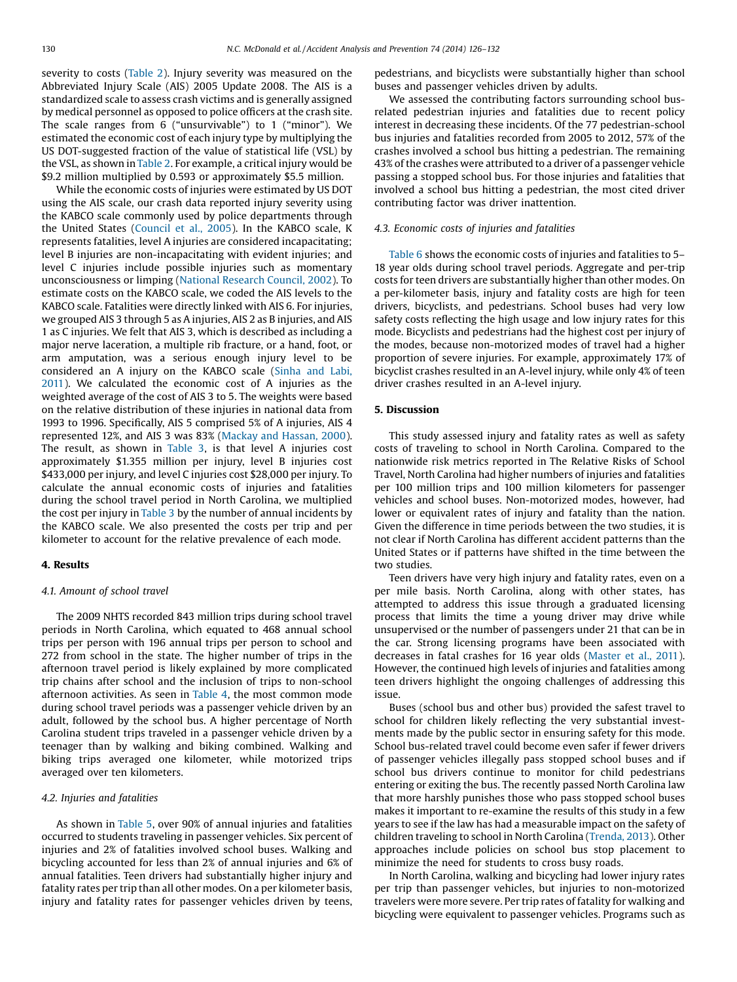severity to costs ([Table](#page-1-0) 2). Injury severity was measured on the Abbreviated Injury Scale (AIS) 2005 Update 2008. The AIS is a standardized scale to assess crash victims and is generally assigned by medical personnel as opposed to police officers at the crash site. The scale ranges from 6 ("unsurvivable") to 1 ("minor"). We estimated the economic cost of each injury type by multiplying the US DOT-suggested fraction of the value of statistical life (VSL) by the VSL, as shown in [Table](#page-1-0) 2. For example, a critical injury would be \$9.2 million multiplied by 0.593 or approximately \$5.5 million.

While the economic costs of injuries were estimated by US DOT using the AIS scale, our crash data reported injury severity using the KABCO scale commonly used by police departments through the United States [\(Council](#page-5-0) et al., 2005). In the KABCO scale, K represents fatalities, level A injuries are considered incapacitating; level B injuries are non-incapacitating with evident injuries; and level C injuries include possible injuries such as momentary unconsciousness or limping (National [Research](#page-5-0) Council, 2002). To estimate costs on the KABCO scale, we coded the AIS levels to the KABCO scale. Fatalities were directly linked with AIS 6. For injuries, we grouped AIS 3 through 5 as A injuries, AIS 2 as B injuries, and AIS 1 as C injuries. We felt that AIS 3, which is described as including a major nerve laceration, a multiple rib fracture, or a hand, foot, or arm amputation, was a serious enough injury level to be considered an A injury on the KABCO scale [\(Sinha](#page-6-0) and Labi, [2011](#page-6-0)). We calculated the economic cost of A injuries as the weighted average of the cost of AIS 3 to 5. The weights were based on the relative distribution of these injuries in national data from 1993 to 1996. Specifically, AIS 5 comprised 5% of A injuries, AIS 4 represented 12%, and AIS 3 was 83% [\(Mackay](#page-5-0) and Hassan, 2000). The result, as shown in [Table](#page-2-0) 3, is that level A injuries cost approximately \$1.355 million per injury, level B injuries cost \$433,000 per injury, and level C injuries cost \$28,000 per injury. To calculate the annual economic costs of injuries and fatalities during the school travel period in North Carolina, we multiplied the cost per injury in [Table](#page-2-0) 3 by the number of annual incidents by the KABCO scale. We also presented the costs per trip and per kilometer to account for the relative prevalence of each mode.

#### 4. Results

# 4.1. Amount of school travel

The 2009 NHTS recorded 843 million trips during school travel periods in North Carolina, which equated to 468 annual school trips per person with 196 annual trips per person to school and 272 from school in the state. The higher number of trips in the afternoon travel period is likely explained by more complicated trip chains after school and the inclusion of trips to non-school afternoon activities. As seen in [Table](#page-2-0) 4, the most common mode during school travel periods was a passenger vehicle driven by an adult, followed by the school bus. A higher percentage of North Carolina student trips traveled in a passenger vehicle driven by a teenager than by walking and biking combined. Walking and biking trips averaged one kilometer, while motorized trips averaged over ten kilometers.

# 4.2. Injuries and fatalities

As shown in [Table](#page-3-0) 5, over 90% of annual injuries and fatalities occurred to students traveling in passenger vehicles. Six percent of injuries and 2% of fatalities involved school buses. Walking and bicycling accounted for less than 2% of annual injuries and 6% of annual fatalities. Teen drivers had substantially higher injury and fatality rates per trip than all other modes. On a per kilometer basis, injury and fatality rates for passenger vehicles driven by teens, pedestrians, and bicyclists were substantially higher than school buses and passenger vehicles driven by adults.

We assessed the contributing factors surrounding school busrelated pedestrian injuries and fatalities due to recent policy interest in decreasing these incidents. Of the 77 pedestrian-school bus injuries and fatalities recorded from 2005 to 2012, 57% of the crashes involved a school bus hitting a pedestrian. The remaining 43% of the crashes were attributed to a driver of a passenger vehicle passing a stopped school bus. For those injuries and fatalities that involved a school bus hitting a pedestrian, the most cited driver contributing factor was driver inattention.

## 4.3. Economic costs of injuries and fatalities

[Table](#page-3-0) 6 shows the economic costs of injuries and fatalities to 5– 18 year olds during school travel periods. Aggregate and per-trip costs for teen drivers are substantially higher than other modes. On a per-kilometer basis, injury and fatality costs are high for teen drivers, bicyclists, and pedestrians. School buses had very low safety costs reflecting the high usage and low injury rates for this mode. Bicyclists and pedestrians had the highest cost per injury of the modes, because non-motorized modes of travel had a higher proportion of severe injuries. For example, approximately 17% of bicyclist crashes resulted in an A-level injury, while only 4% of teen driver crashes resulted in an A-level injury.

# 5. Discussion

This study assessed injury and fatality rates as well as safety costs of traveling to school in North Carolina. Compared to the nationwide risk metrics reported in The Relative Risks of School Travel, North Carolina had higher numbers of injuries and fatalities per 100 million trips and 100 million kilometers for passenger vehicles and school buses. Non-motorized modes, however, had lower or equivalent rates of injury and fatality than the nation. Given the difference in time periods between the two studies, it is not clear if North Carolina has different accident patterns than the United States or if patterns have shifted in the time between the two studies.

Teen drivers have very high injury and fatality rates, even on a per mile basis. North Carolina, along with other states, has attempted to address this issue through a graduated licensing process that limits the time a young driver may drive while unsupervised or the number of passengers under 21 that can be in the car. Strong licensing programs have been associated with decreases in fatal crashes for 16 year olds [\(Master](#page-5-0) et al., 2011). However, the continued high levels of injuries and fatalities among teen drivers highlight the ongoing challenges of addressing this issue.

Buses (school bus and other bus) provided the safest travel to school for children likely reflecting the very substantial investments made by the public sector in ensuring safety for this mode. School bus-related travel could become even safer if fewer drivers of passenger vehicles illegally pass stopped school buses and if school bus drivers continue to monitor for child pedestrians entering or exiting the bus. The recently passed North Carolina law that more harshly punishes those who pass stopped school buses makes it important to re-examine the results of this study in a few years to see if the law has had a measurable impact on the safety of children traveling to school in North Carolina ([Trenda,](#page-6-0) 2013). Other approaches include policies on school bus stop placement to minimize the need for students to cross busy roads.

In North Carolina, walking and bicycling had lower injury rates per trip than passenger vehicles, but injuries to non-motorized travelers were more severe. Per trip rates of fatality for walking and bicycling were equivalent to passenger vehicles. Programs such as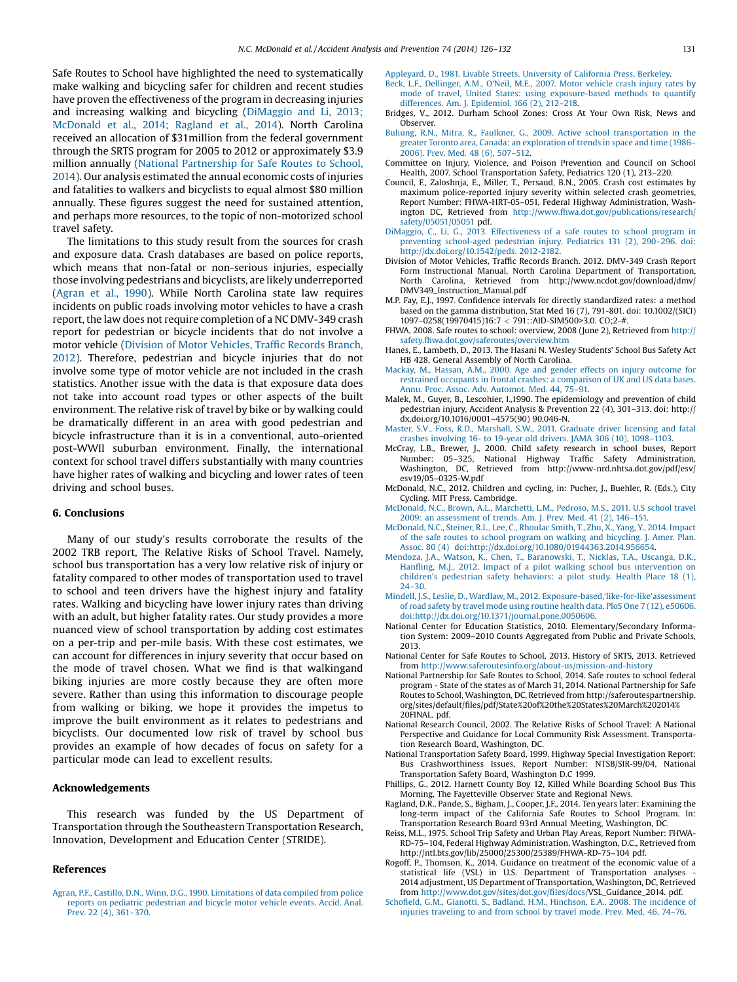<span id="page-5-0"></span>Safe Routes to School have highlighted the need to systematically make walking and bicycling safer for children and recent studies have proven the effectiveness of the program in decreasing injuries and increasing walking and bicycling (DiMaggio and Li, 2013; McDonald et al., 2014; Ragland et al., 2014). North Carolina received an allocation of \$31million from the federal government through the SRTS program for 2005 to 2012 or approximately \$3.9 million annually (National Partnership for Safe Routes to School, 2014). Our analysis estimated the annual economic costs of injuries and fatalities to walkers and bicyclists to equal almost \$80 million annually. These figures suggest the need for sustained attention, and perhaps more resources, to the topic of non-motorized school travel safety.

The limitations to this study result from the sources for crash and exposure data. Crash databases are based on police reports, which means that non-fatal or non-serious injuries, especially those involving pedestrians and bicyclists, are likely underreported (Agran et al., 1990). While North Carolina state law requires incidents on public roads involving motor vehicles to have a crash report, the law does not require completion of a NC DMV-349 crash report for pedestrian or bicycle incidents that do not involve a motor vehicle (Division of Motor Vehicles, Traffic Records Branch, 2012). Therefore, pedestrian and bicycle injuries that do not involve some type of motor vehicle are not included in the crash statistics. Another issue with the data is that exposure data does not take into account road types or other aspects of the built environment. The relative risk of travel by bike or by walking could be dramatically different in an area with good pedestrian and bicycle infrastructure than it is in a conventional, auto-oriented post-WWII suburban environment. Finally, the international context for school travel differs substantially with many countries have higher rates of walking and bicycling and lower rates of teen driving and school buses.

# 6. Conclusions

Many of our study's results corroborate the results of the 2002 TRB report, The Relative Risks of School Travel. Namely, school bus transportation has a very low relative risk of injury or fatality compared to other modes of transportation used to travel to school and teen drivers have the highest injury and fatality rates. Walking and bicycling have lower injury rates than driving with an adult, but higher fatality rates. Our study provides a more nuanced view of school transportation by adding cost estimates on a per-trip and per-mile basis. With these cost estimates, we can account for differences in injury severity that occur based on the mode of travel chosen. What we find is that walkingand biking injuries are more costly because they are often more severe. Rather than using this information to discourage people from walking or biking, we hope it provides the impetus to improve the built environment as it relates to pedestrians and bicyclists. Our documented low risk of travel by school bus provides an example of how decades of focus on safety for a particular mode can lead to excellent results.

# Acknowledgements

This research was funded by the US Department of Transportation through the Southeastern Transportation Research, Innovation, Development and Education Center (STRIDE).

#### References

Agran, P.F., Castillo, D.N., Winn, D.G., 1990. [Limitations](http://refhub.elsevier.com/S0001-4575(14)00303-0/sbref0005) of data compiled from police reports on pediatric [pedestrian](http://refhub.elsevier.com/S0001-4575(14)00303-0/sbref0005) and bicycle motor vehicle events. Accid. Anal. [Prev.](http://refhub.elsevier.com/S0001-4575(14)00303-0/sbref0005) 22 (4), 361–370.

[Appleyard,](http://refhub.elsevier.com/S0001-4575(14)00303-0/sbref0010) D., 1981. Livable Streets. University of California Press, Berkeley.

- Beck, L.F., [Dellinger,](http://refhub.elsevier.com/S0001-4575(14)00303-0/sbref0015) A.M., O'Neil, M.E., 2007. Motor vehicle crash injury rates by mode of travel, United States: using [exposure-based](http://refhub.elsevier.com/S0001-4575(14)00303-0/sbref0015) methods to quantify [differences.](http://refhub.elsevier.com/S0001-4575(14)00303-0/sbref0015) Am. J. Epidemiol. 166 (2), 212–218.
- Bridges, V., 2012. Durham School Zones: Cross At Your Own Risk, News and Observer.
- Buliung, R.N., Mitra, R., Faulkner, G., 2009. Active school [transportation](http://refhub.elsevier.com/S0001-4575(14)00303-0/sbref0025) in the greater Toronto area, Canada: an [exploration](http://refhub.elsevier.com/S0001-4575(14)00303-0/sbref0025) of trends in space and time (1986– [2006\).](http://refhub.elsevier.com/S0001-4575(14)00303-0/sbref0025) Prev. Med. 48 (6), 507–512.
- Committee on Injury, Violence, and Poison Prevention and Council on School Health, 2007. School Transportation Safety, Pediatrics 120 (1), 213–220.
- Council, F., Zaloshnja, E., Miller, T., Persaud, B.N., 2005. Crash cost estimates by maximum police-reported injury severity within selected crash geometries, Report Number: FHWA-HRT-05–051, Federal Highway Administration, Washington DC, Retrieved from [http://www.fhwa.dot.gov/publications/research/](http://www.fhwa.dot.gov/publications/research/safety/05051/05051) [safety/05051/05051](http://www.fhwa.dot.gov/publications/research/safety/05051/05051) pdf.
- DiMaggio, C., Li, G., 2013. [Effectiveness](http://refhub.elsevier.com/S0001-4575(14)00303-0/sbref0040) of a safe routes to school program in preventing [school-aged](http://refhub.elsevier.com/S0001-4575(14)00303-0/sbref0040) pedestrian injury. Pediatrics 131 (2), 290–296. doi: [http://dx.doi.org/10.1542/peds.](http://dx.doi.org/10.1542/peds. 2012-2182) 2012-2182.
- Division of Motor Vehicles, Traffic Records Branch. 2012. DMV-349 Crash Report Form Instructional Manual, North Carolina Department of Transportation, North Carolina, Retrieved from http://www.ncdot.gov/download/dmv/ DMV349\_Instruction\_Manual.pdf
- M.P. Fay, E.J., 1997. Confidence intervals for directly standardized rates: a method based on the gamma distribution, Stat Med 16 (7), 791-801. doi: 10.1002/(SICI) 1097–0258(19970415)16:7 < 791::AID-SIM500>3.0. CO;2-#.
- FHWA, 2008. Safe routes to school: overview, 2008 (June 2), Retrieved from [http://](http://safety.fhwa.dot.gov/saferoutes/overview.htm) [safety.fhwa.dot.gov/saferoutes/overview.htm](http://safety.fhwa.dot.gov/saferoutes/overview.htm)
- Hanes, E., Lambeth, D., 2013. The Hasani N. Wesley Students' School Bus Safety Act HB 428, General Assembly of North Carolina.
- Mackay, M., Hassan, A.M., 2000. Age and gender effects on injury [outcome](http://refhub.elsevier.com/S0001-4575(14)00303-0/sbref0065) for restrained occupants in frontal crashes: a [comparison](http://refhub.elsevier.com/S0001-4575(14)00303-0/sbref0065) of UK and US data bases. Annu. Proc. Assoc. Adv. [Automot.](http://refhub.elsevier.com/S0001-4575(14)00303-0/sbref0065) Med. 44, 75–91.
- Malek, M., Guyer, B., Lescohier, I.,1990. The epidemiology and prevention of child pedestrian injury, Accident Analysis & Prevention 22 (4), 301–313. doi: http:// dx.doi.org/10.1016/0001–4575(90) 90,046-N.
- Master, S.V., Foss, R.D., [Marshall,](http://refhub.elsevier.com/S0001-4575(14)00303-0/sbref0075) S.W., 2011. Graduate driver licensing and fatal crashes [involving](http://refhub.elsevier.com/S0001-4575(14)00303-0/sbref0075) 16- to 19-year old drivers. JAMA 306 (10), 1098–1103.
- McCray, L.B., Brewer, J., 2000. Child safety research in school buses, Report Number: 05–325, National Highway Traffic Safety Administration, Washington, DC, Retrieved from http://www-nrd.nhtsa.dot.gov/pdf/esv/ esv19/05–0325-W.pdf
- McDonald, N.C., 2012. Children and cycling, in: Pucher, J., Buehler, R. (Eds.), City Cycling. MIT Press, Cambridge.
- [McDonald,](http://refhub.elsevier.com/S0001-4575(14)00303-0/sbref0090) N.C., Brown, A.L., Marchetti, L.M., Pedroso, M.S., 2011. U.S school travel 2009: an [assessment](http://refhub.elsevier.com/S0001-4575(14)00303-0/sbref0090) of trends. Am. J. Prev. Med. 41 (2), 146–151.
- [McDonald,](http://refhub.elsevier.com/S0001-4575(14)00303-0/sbref0095) N.C., Steiner, R.L., Lee, C., Rhoulac Smith, T., Zhu, X., Yang, Y., 2014. Impact of the safe routes to school program on walking and [bicycling.](http://refhub.elsevier.com/S0001-4575(14)00303-0/sbref0095) J. Amer. Plan. Assoc. 80 (4) [doi:http://dx.doi.org/10.1080/01944363.2014.956654](http://refhub.elsevier.com/S0001-4575(14)00303-0/sbref0095).
- Mendoza, J.A., Watson, K., Chen, T., [Baranowski,](http://refhub.elsevier.com/S0001-4575(14)00303-0/sbref0100) T., Nicklas, T.A., Uscanga, D.K., Hanfling, M.J., 2012. Impact of a pilot walking school bus [intervention](http://refhub.elsevier.com/S0001-4575(14)00303-0/sbref0100) on children's [pedestrian](http://refhub.elsevier.com/S0001-4575(14)00303-0/sbref0100) safety behaviors: a pilot study. Health Place 18 (1), 24–[30.](http://refhub.elsevier.com/S0001-4575(14)00303-0/sbref0100)
- Mindell, J.S., Leslie, D., Wardlaw, M., 2012. [Exposure-based,](http://refhub.elsevier.com/S0001-4575(14)00303-0/sbref0105)'like-for-like'assessment of road safety by travel mode using routine health data. PloS One 7 (12), [e50606.](http://refhub.elsevier.com/S0001-4575(14)00303-0/sbref0105) [doi:http://dx.doi.org/10.1371/journal.pone.0050606.](http://refhub.elsevier.com/S0001-4575(14)00303-0/sbref0105)
- National Center for Education Statistics, 2010. Elementary/Secondary Information System: 2009–2010 Counts Aggregated from Public and Private Schools, 2013.
- National Center for Safe Routes to School, 2013. History of SRTS, 2013. Retrieved from <http://www.saferoutesinfo.org/about-us/mission-and-history>
- National Partnership for Safe Routes to School, 2014. Safe routes to school federal program - State of the states as of March 31, 2014. National Partnership for Safe Routes to School, Washington, DC, Retrieved from http://saferoutespartnership. org/sites/default/files/pdf/State%20of%20the%20States%20March%202014% 20FINAL. pdf.
- National Research Council, 2002. The Relative Risks of School Travel: A National Perspective and Guidance for Local Community Risk Assessment. Transportation Research Board, Washington, DC.
- National Transportation Safety Board, 1999. Highway Special Investigation Report: Bus Crashworthiness Issues, Report Number: NTSB/SIR-99/04, National Transportation Safety Board, Washington D.C 1999.
- Phillips, G., 2012. Harnett County Boy 12, Killed While Boarding School Bus This Morning, The Fayetteville Observer State and Regional News.
- Ragland, D.R., Pande, S., Bigham, J., Cooper, J.F., 2014. Ten years later: Examining the long-term impact of the California Safe Routes to School Program. In: Transportation Research Board 93rd Annual Meeting, Washington, DC.
- Reiss, M.L., 1975. School Trip Safety and Urban Play Areas, Report Number: FHWA-RD-75–104, Federal Highway Administration, Washington, D.C., Retrieved from http://ntl.bts.gov/lib/25000/25300/25389/FHWA-RD-75–104 pdf.
- Rogoff, P., Thomson, K., 2014. Guidance on treatment of the economic value of a statistical life (VSL) in U.S. Department of Transportation analyses 2014 adjustment, US Department of Transportation, Washington, DC, Retrieved from [http://www.dot.gov/sites/dot.gov/](http://www.dot.gov/sites/dot.gov/files/docs/)files/docs/VSL\_Guidance\_2014. pdf.
- Schofield, G.M., Gianotti, S., Badland, H.M., [Hinchson,](http://refhub.elsevier.com/S0001-4575(14)00303-0/sbref0155) E.A., 2008. The incidence of injuries [traveling](http://refhub.elsevier.com/S0001-4575(14)00303-0/sbref0155) to and from school by travel mode. Prev. Med. 46, 74–76.